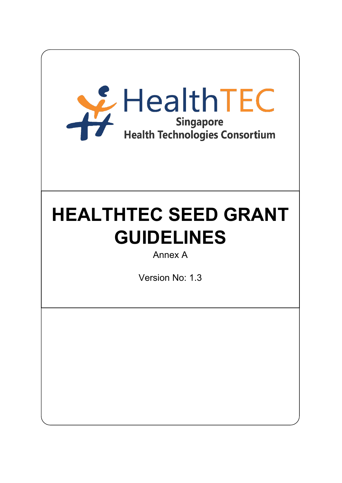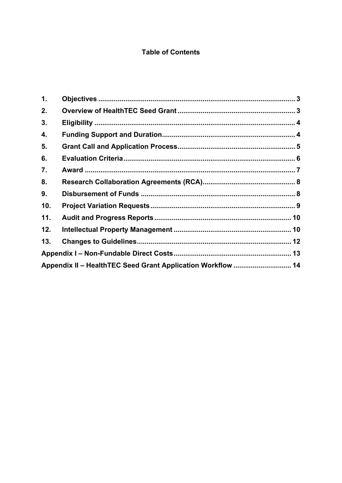# **Table of Contents**

| 1.  |                                                             |  |
|-----|-------------------------------------------------------------|--|
| 2.  |                                                             |  |
| 3.  |                                                             |  |
| 4.  |                                                             |  |
| 5.  |                                                             |  |
| 6.  |                                                             |  |
| 7.  |                                                             |  |
| 8.  |                                                             |  |
| 9.  |                                                             |  |
| 10. |                                                             |  |
| 11. |                                                             |  |
| 12. |                                                             |  |
| 13. |                                                             |  |
|     |                                                             |  |
|     | Appendix II - HealthTEC Seed Grant Application Workflow  14 |  |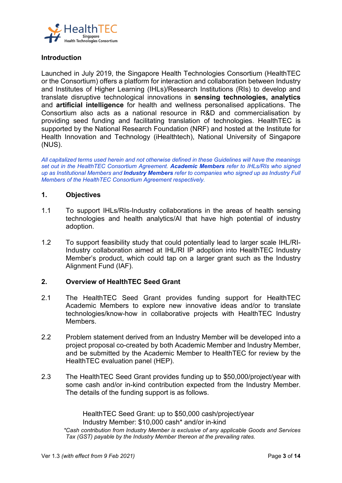

# **Introduction**

Launched in July 2019, the Singapore Health Technologies Consortium (HealthTEC or the Consortium) offers a platform for interaction and collaboration between Industry and Institutes of Higher Learning (IHLs)/Research Institutions (RIs) to develop and translate disruptive technological innovations in **sensing technologies, analytics** and **artificial intelligence** for health and wellness personalised applications. The Consortium also acts as a national resource in R&D and commercialisation by providing seed funding and facilitating translation of technologies. HealthTEC is supported by the National Research Foundation (NRF) and hosted at the Institute for Health Innovation and Technology (iHealthtech), National University of Singapore (NUS).

*All capitalized terms used herein and not otherwise defined in these Guidelines will have the meanings set out in the HealthTEC Consortium Agreement. Academic Members refer to IHLs/RIs who signed up as Institutional Members and Industry Members refer to companies who signed up as Industry Full Members of the HealthTEC Consortium Agreement respectively.*

## **1. Objectives**

- 1.1 To support IHLs/RIs-Industry collaborations in the areas of health sensing technologies and health analytics/AI that have high potential of industry adoption.
- 1.2 To support feasibility study that could potentially lead to larger scale IHL/RI-Industry collaboration aimed at IHL/RI IP adoption into HealthTEC Industry Member's product, which could tap on a larger grant such as the Industry Alignment Fund (IAF).

#### **2. Overview of HealthTEC Seed Grant**

- 2.1 The HealthTEC Seed Grant provides funding support for HealthTEC Academic Members to explore new innovative ideas and/or to translate technologies/know-how in collaborative projects with HealthTEC Industry Members.
- 2.2 Problem statement derived from an Industry Member will be developed into a project proposal co-created by both Academic Member and Industry Member, and be submitted by the Academic Member to HealthTEC for review by the HealthTEC evaluation panel (HEP).
- 2.3 The HealthTEC Seed Grant provides funding up to \$50,000/project/year with some cash and/or in-kind contribution expected from the Industry Member. The details of the funding support is as follows.

 HealthTEC Seed Grant: up to \$50,000 cash/project/year Industry Member: \$10,000 cash\* and/or in-kind *\*Cash contribution from Industry Member is exclusive of any applicable Goods and Services Tax (GST) payable by the Industry Member thereon at the prevailing rates.*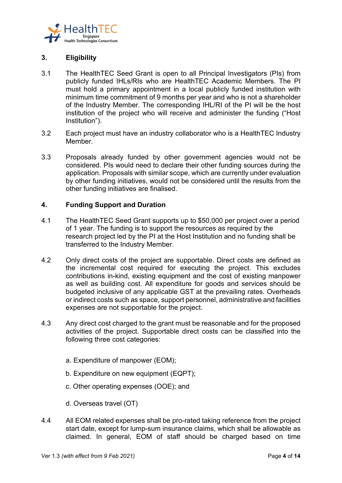

# **3. Eligibility**

- 3.1 The HealthTEC Seed Grant is open to all Principal Investigators (PIs) from publicly funded IHLs/RIs who are HealthTEC Academic Members. The PI must hold a primary appointment in a local publicly funded institution with minimum time commitment of 9 months per year and who is not a shareholder of the Industry Member. The corresponding IHL/RI of the PI will be the host institution of the project who will receive and administer the funding ("Host Institution").
- 3.2 Each project must have an industry collaborator who is a HealthTEC Industry Member.
- 3.3 Proposals already funded by other government agencies would not be considered. PIs would need to declare their other funding sources during the application. Proposals with similar scope, which are currently under evaluation by other funding initiatives, would not be considered until the results from the other funding initiatives are finalised.

### **4. Funding Support and Duration**

- 4.1 The HealthTEC Seed Grant supports up to \$50,000 per project over a period of 1 year. The funding is to support the resources as required by the research project led by the PI at the Host Institution and no funding shall be transferred to the Industry Member.
- 4.2 Only direct costs of the project are supportable. Direct costs are defined as the incremental cost required for executing the project. This excludes contributions in-kind, existing equipment and the cost of existing manpower as well as building cost. All expenditure for goods and services should be budgeted inclusive of any applicable GST at the prevailing rates. Overheads or indirect costs such as space, support personnel, administrative and facilities expenses are not supportable for the project.
- 4.3 Any direct cost charged to the grant must be reasonable and for the proposed activities of the project. Supportable direct costs can be classified into the following three cost categories:
	- a. Expenditure of manpower (EOM);
	- b. Expenditure on new equipment (EQPT);
	- c. Other operating expenses (OOE); and
	- d. Overseas travel (OT)
- 4.4 All EOM related expenses shall be pro-rated taking reference from the project start date, except for lump-sum insurance claims, which shall be allowable as claimed. In general, EOM of staff should be charged based on time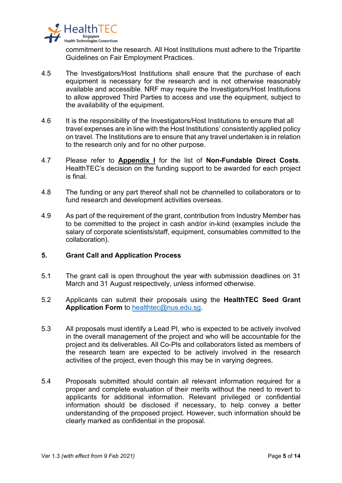

commitment to the research. All Host Institutions must adhere to the Tripartite Guidelines on Fair Employment Practices.

- 4.5 The Investigators/Host Institutions shall ensure that the purchase of each equipment is necessary for the research and is not otherwise reasonably available and accessible. NRF may require the Investigators/Host Institutions to allow approved Third Parties to access and use the equipment, subject to the availability of the equipment.
- 4.6 It is the responsibility of the Investigators/Host Institutions to ensure that all travel expenses are in line with the Host Institutions' consistently applied policy on travel. The Institutions are to ensure that any travel undertaken is in relation to the research only and for no other purpose.
- 4.7 Please refer to **Appendix I** for the list of **Non-Fundable Direct Costs**. HealthTEC's decision on the funding support to be awarded for each project is final.
- 4.8 The funding or any part thereof shall not be channelled to collaborators or to fund research and development activities overseas.
- 4.9 As part of the requirement of the grant, contribution from Industry Member has to be committed to the project in cash and/or in-kind (examples include the salary of corporate scientists/staff, equipment, consumables committed to the collaboration).

## **5. Grant Call and Application Process**

- 5.1 The grant call is open throughout the year with submission deadlines on 31 March and 31 August respectively, unless informed otherwise.
- 5.2 Applicants can submit their proposals using the **HealthTEC Seed Grant Application Form** to [healthtec@nus.edu.sg.](mailto:healthtec@nus.edu.sg)
- 5.3 All proposals must identify a Lead PI, who is expected to be actively involved in the overall management of the project and who will be accountable for the project and its deliverables. All Co-PIs and collaborators listed as members of the research team are expected to be actively involved in the research activities of the project, even though this may be in varying degrees.
- 5.4 Proposals submitted should contain all relevant information required for a proper and complete evaluation of their merits without the need to revert to applicants for additional information. Relevant privileged or confidential information should be disclosed if necessary, to help convey a better understanding of the proposed project. However, such information should be clearly marked as confidential in the proposal.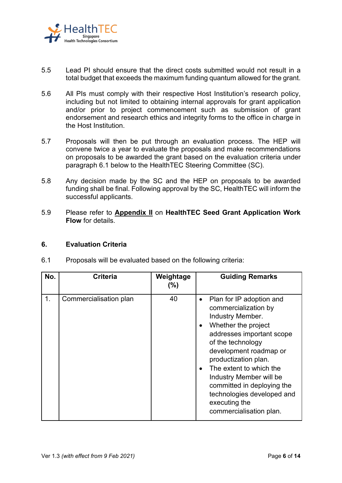

- 5.5 Lead PI should ensure that the direct costs submitted would not result in a total budget that exceeds the maximum funding quantum allowed for the grant.
- 5.6 All PIs must comply with their respective Host Institution's research policy, including but not limited to obtaining internal approvals for grant application and/or prior to project commencement such as submission of grant endorsement and research ethics and integrity forms to the office in charge in the Host Institution.
- 5.7 Proposals will then be put through an evaluation process. The HEP will convene twice a year to evaluate the proposals and make recommendations on proposals to be awarded the grant based on the evaluation criteria under paragraph 6.1 below to the HealthTEC Steering Committee (SC).
- 5.8 Any decision made by the SC and the HEP on proposals to be awarded funding shall be final. Following approval by the SC, HealthTEC will inform the successful applicants.
- 5.9 Please refer to **Appendix II** on **HealthTEC Seed Grant Application Work Flow** for details.

# **6. Evaluation Criteria**

| No. | <b>Criteria</b>        | Weightage<br>(%) | <b>Guiding Remarks</b>                                                                                                                                                                                                                                                                                                                                                                  |
|-----|------------------------|------------------|-----------------------------------------------------------------------------------------------------------------------------------------------------------------------------------------------------------------------------------------------------------------------------------------------------------------------------------------------------------------------------------------|
| 1.  | Commercialisation plan | 40               | Plan for IP adoption and<br>$\bullet$<br>commercialization by<br>Industry Member.<br>Whether the project<br>$\bullet$<br>addresses important scope<br>of the technology<br>development roadmap or<br>productization plan.<br>The extent to which the<br>Industry Member will be<br>committed in deploying the<br>technologies developed and<br>executing the<br>commercialisation plan. |

6.1 Proposals will be evaluated based on the following criteria: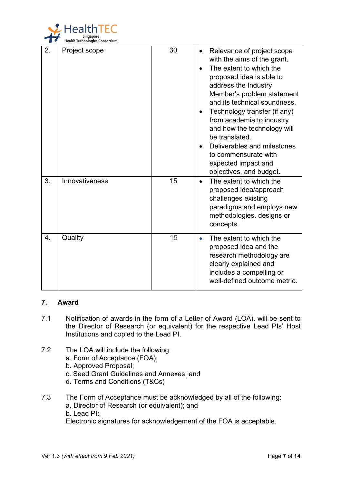

| 2.               | Project scope  | 30 | Relevance of project scope<br>with the aims of the grant.<br>The extent to which the<br>proposed idea is able to<br>address the Industry<br>Member's problem statement<br>and its technical soundness.<br>Technology transfer (if any)<br>from academia to industry<br>and how the technology will<br>be translated.<br>Deliverables and milestones<br>$\bullet$<br>to commensurate with<br>expected impact and<br>objectives, and budget. |
|------------------|----------------|----|--------------------------------------------------------------------------------------------------------------------------------------------------------------------------------------------------------------------------------------------------------------------------------------------------------------------------------------------------------------------------------------------------------------------------------------------|
| 3.               | Innovativeness | 15 | The extent to which the<br>$\bullet$<br>proposed idea/approach<br>challenges existing<br>paradigms and employs new<br>methodologies, designs or<br>concepts.                                                                                                                                                                                                                                                                               |
| $\overline{4}$ . | Quality        | 15 | The extent to which the<br>proposed idea and the<br>research methodology are<br>clearly explained and<br>includes a compelling or<br>well-defined outcome metric.                                                                                                                                                                                                                                                                          |

# **7. Award**

- 7.1 Notification of awards in the form of a Letter of Award (LOA), will be sent to the Director of Research (or equivalent) for the respective Lead PIs' Host Institutions and copied to the Lead PI.
- 7.2 The LOA will include the following:
	- a. Form of Acceptance (FOA);
	- b. Approved Proposal;
	- c. Seed Grant Guidelines and Annexes; and
	- d. Terms and Conditions (T&Cs)
- 7.3 The Form of Acceptance must be acknowledged by all of the following: a. Director of Research (or equivalent); and b. Lead PI; Electronic signatures for acknowledgement of the FOA is acceptable.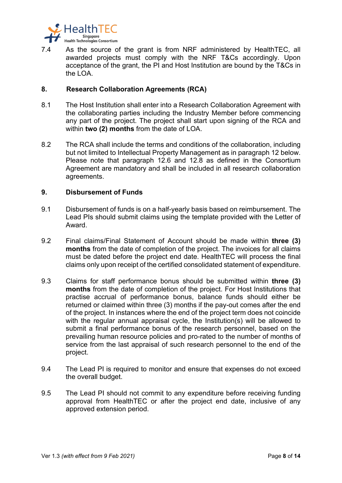

7.4 As the source of the grant is from NRF administered by HealthTEC, all awarded projects must comply with the NRF T&Cs accordingly. Upon acceptance of the grant, the PI and Host Institution are bound by the T&Cs in the LOA

## **8. Research Collaboration Agreements (RCA)**

- 8.1 The Host Institution shall enter into a Research Collaboration Agreement with the collaborating parties including the Industry Member before commencing any part of the project. The project shall start upon signing of the RCA and within **two (2) months** from the date of LOA.
- 8.2 The RCA shall include the terms and conditions of the collaboration, including but not limited to Intellectual Property Management as in paragraph 12 below. Please note that paragraph 12.6 and 12.8 as defined in the Consortium Agreement are mandatory and shall be included in all research collaboration agreements.

#### **9. Disbursement of Funds**

- 9.1 Disbursement of funds is on a half-yearly basis based on reimbursement. The Lead PIs should submit claims using the template provided with the Letter of Award.
- 9.2 Final claims/Final Statement of Account should be made within **three (3) months** from the date of completion of the project. The invoices for all claims must be dated before the project end date. HealthTEC will process the final claims only upon receipt of the certified consolidated statement of expenditure.
- 9.3 Claims for staff performance bonus should be submitted within **three (3) months** from the date of completion of the project. For Host Institutions that practise accrual of performance bonus, balance funds should either be returned or claimed within three (3) months if the pay-out comes after the end of the project. In instances where the end of the project term does not coincide with the regular annual appraisal cycle, the Institution(s) will be allowed to submit a final performance bonus of the research personnel, based on the prevailing human resource policies and pro-rated to the number of months of service from the last appraisal of such research personnel to the end of the project.
- 9.4 The Lead PI is required to monitor and ensure that expenses do not exceed the overall budget.
- 9.5 The Lead PI should not commit to any expenditure before receiving funding approval from HealthTEC or after the project end date, inclusive of any approved extension period.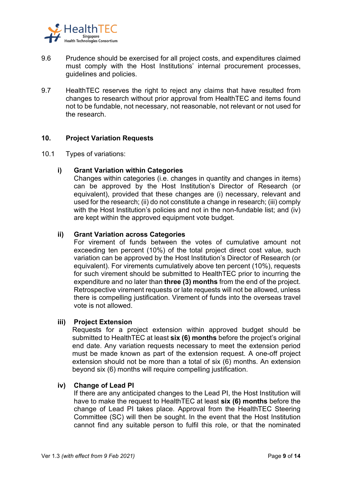

- 9.6 Prudence should be exercised for all project costs, and expenditures claimed must comply with the Host Institutions' internal procurement processes, guidelines and policies.
- 9.7 HealthTEC reserves the right to reject any claims that have resulted from changes to research without prior approval from HealthTEC and items found not to be fundable, not necessary, not reasonable, not relevant or not used for the research.

# **10. Project Variation Requests**

10.1 Types of variations:

### **i) Grant Variation within Categories**

Changes within categories (i.e. changes in quantity and changes in items) can be approved by the Host Institution's Director of Research (or equivalent), provided that these changes are (i) necessary, relevant and used for the research; (ii) do not constitute a change in research; (iii) comply with the Host Institution's policies and not in the non-fundable list; and (iv) are kept within the approved equipment vote budget.

### **ii) Grant Variation across Categories**

For virement of funds between the votes of cumulative amount not exceeding ten percent (10%) of the total project direct cost value, such variation can be approved by the Host Institution's Director of Research (or equivalent). For virements cumulatively above ten percent (10%), requests for such virement should be submitted to HealthTEC prior to incurring the expenditure and no later than **three (3) months** from the end of the project. Retrospective virement requests or late requests will not be allowed, unless there is compelling justification. Virement of funds into the overseas travel vote is not allowed.

#### **iii) Project Extension**

Requests for a project extension within approved budget should be submitted to HealthTEC at least **six (6) months** before the project's original end date. Any variation requests necessary to meet the extension period must be made known as part of the extension request. A one-off project extension should not be more than a total of six (6) months. An extension beyond six (6) months will require compelling justification.

#### **iv) Change of Lead PI**

If there are any anticipated changes to the Lead PI, the Host Institution will have to make the request to HealthTEC at least **six (6) months** before the change of Lead PI takes place. Approval from the HealthTEC Steering Committee (SC) will then be sought. In the event that the Host Institution cannot find any suitable person to fulfil this role, or that the nominated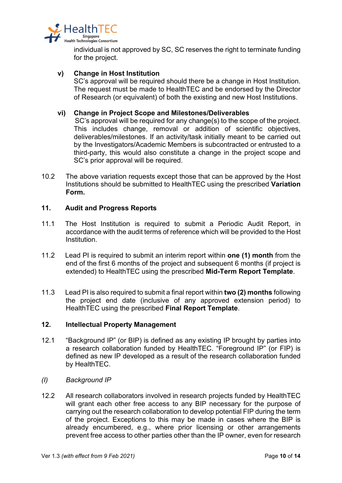

individual is not approved by SC, SC reserves the right to terminate funding for the project.

### **v) Change in Host Institution**

SC's approval will be required should there be a change in Host Institution. The request must be made to HealthTEC and be endorsed by the Director of Research (or equivalent) of both the existing and new Host Institutions.

### **vi) Change in Project Scope and Milestones/Deliverables**

 SC's approval will be required for any change(s) to the scope of the project. This includes change, removal or addition of scientific objectives, deliverables/milestones. If an activity/task initially meant to be carried out by the Investigators/Academic Members is subcontracted or entrusted to a third-party, this would also constitute a change in the project scope and SC's prior approval will be required.

10.2 The above variation requests except those that can be approved by the Host Institutions should be submitted to HealthTEC using the prescribed **Variation Form.** 

### **11. Audit and Progress Reports**

- 11.1 The Host Institution is required to submit a Periodic Audit Report, in accordance with the audit terms of reference which will be provided to the Host **Institution**
- 11.2 Lead PI is required to submit an interim report within **one (1) month** from the end of the first 6 months of the project and subsequent 6 months (if project is extended) to HealthTEC using the prescribed **Mid-Term Report Template**.
- 11.3 Lead PI is also required to submit a final report within **two (2) months** following the project end date (inclusive of any approved extension period) to HealthTEC using the prescribed **Final Report Template**.

### **12. Intellectual Property Management**

- 12.1 "Background IP" (or BIP) is defined as any existing IP brought by parties into a research collaboration funded by HealthTEC. "Foreground IP" (or FIP) is defined as new IP developed as a result of the research collaboration funded by HealthTEC.
- *(I) Background IP*
- 12.2 All research collaborators involved in research projects funded by HealthTEC will grant each other free access to any BIP necessary for the purpose of carrying out the research collaboration to develop potential FIP during the term of the project. Exceptions to this may be made in cases where the BIP is already encumbered, e.g., where prior licensing or other arrangements prevent free access to other parties other than the IP owner, even for research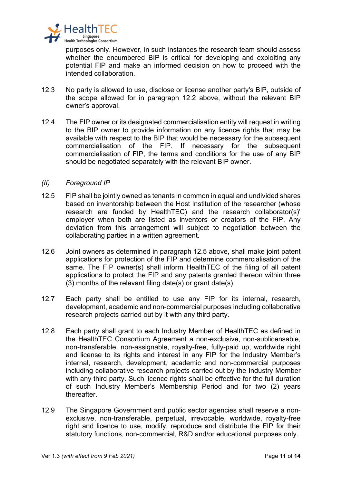

purposes only. However, in such instances the research team should assess whether the encumbered BIP is critical for developing and exploiting any potential FIP and make an informed decision on how to proceed with the intended collaboration.

- 12.3 No party is allowed to use, disclose or license another party's BIP, outside of the scope allowed for in paragraph 12.2 above, without the relevant BIP owner's approval.
- 12.4 The FIP owner or its designated commercialisation entity will request in writing to the BIP owner to provide information on any licence rights that may be available with respect to the BIP that would be necessary for the subsequent commercialisation of the FIP. If necessary for the subsequent commercialisation of FIP, the terms and conditions for the use of any BIP should be negotiated separately with the relevant BIP owner.

### *(II) Foreground IP*

- 12.5 FIP shall be jointly owned as tenants in common in equal and undivided shares based on inventorship between the Host Institution of the researcher (whose research are funded by HealthTEC) and the research collaborator(s)' employer when both are listed as inventors or creators of the FIP. Any deviation from this arrangement will subject to negotiation between the collaborating parties in a written agreement.
- 12.6 Joint owners as determined in paragraph 12.5 above, shall make joint patent applications for protection of the FIP and determine commercialisation of the same. The FIP owner(s) shall inform HealthTEC of the filing of all patent applications to protect the FIP and any patents granted thereon within three (3) months of the relevant filing date(s) or grant date(s).
- 12.7 Each party shall be entitled to use any FIP for its internal, research, development, academic and non-commercial purposes including collaborative research projects carried out by it with any third party.
- 12.8 Each party shall grant to each Industry Member of HealthTEC as defined in the HealthTEC Consortium Agreement a non-exclusive, non-sublicensable, non-transferable, non-assignable, royalty-free, fully-paid up, worldwide right and license to its rights and interest in any FIP for the Industry Member's internal, research, development, academic and non-commercial purposes including collaborative research projects carried out by the Industry Member with any third party. Such licence rights shall be effective for the full duration of such Industry Member's Membership Period and for two (2) years thereafter.
- 12.9 The Singapore Government and public sector agencies shall reserve a nonexclusive, non-transferable, perpetual, irrevocable, worldwide, royalty-free right and licence to use, modify, reproduce and distribute the FIP for their statutory functions, non-commercial, R&D and/or educational purposes only.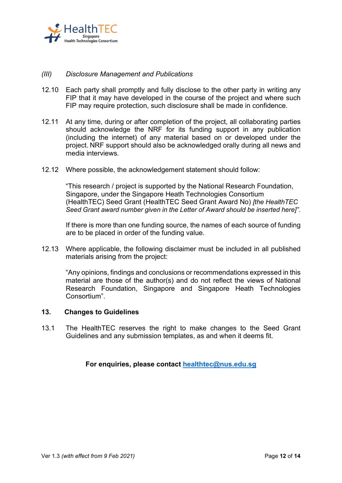

### *(III) Disclosure Management and Publications*

- 12.10 Each party shall promptly and fully disclose to the other party in writing any FIP that it may have developed in the course of the project and where such FIP may require protection, such disclosure shall be made in confidence.
- 12.11 At any time, during or after completion of the project, all collaborating parties should acknowledge the NRF for its funding support in any publication (including the internet) of any material based on or developed under the project. NRF support should also be acknowledged orally during all news and media interviews.
- 12.12 Where possible, the acknowledgement statement should follow:

"This research / project is supported by the National Research Foundation, Singapore, under the Singapore Heath Technologies Consortium (HealthTEC) Seed Grant (HealthTEC Seed Grant Award No) *[the HealthTEC Seed Grant award number given in the Letter of Award should be inserted here]"*.

 If there is more than one funding source, the names of each source of funding are to be placed in order of the funding value.

12.13 Where applicable, the following disclaimer must be included in all published materials arising from the project:

"Any opinions, findings and conclusions or recommendations expressed in this material are those of the author(s) and do not reflect the views of National Research Foundation, Singapore and Singapore Heath Technologies Consortium".

### **13. Changes to Guidelines**

13.1 The HealthTEC reserves the right to make changes to the Seed Grant Guidelines and any submission templates, as and when it deems fit.

**For enquiries, please contact [healthtec@nus.edu.sg](mailto:healthtec@nus.edu.sg)**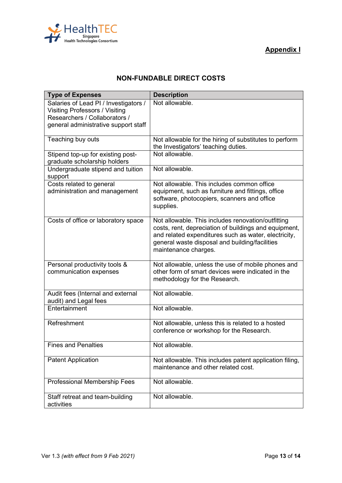



# **NON-FUNDABLE DIRECT COSTS**

| <b>Type of Expenses</b>                                                                                                                                 | <b>Description</b>                                                                                                                                                                                                                            |
|---------------------------------------------------------------------------------------------------------------------------------------------------------|-----------------------------------------------------------------------------------------------------------------------------------------------------------------------------------------------------------------------------------------------|
| Salaries of Lead PI / Investigators /<br><b>Visiting Professors / Visiting</b><br>Researchers / Collaborators /<br>general administrative support staff | Not allowable.                                                                                                                                                                                                                                |
| Teaching buy outs                                                                                                                                       | Not allowable for the hiring of substitutes to perform<br>the Investigators' teaching duties.                                                                                                                                                 |
| Stipend top-up for existing post-<br>graduate scholarship holders                                                                                       | Not allowable.                                                                                                                                                                                                                                |
| Undergraduate stipend and tuition<br>support                                                                                                            | Not allowable.                                                                                                                                                                                                                                |
| Costs related to general<br>administration and management                                                                                               | Not allowable. This includes common office<br>equipment, such as furniture and fittings, office<br>software, photocopiers, scanners and office<br>supplies.                                                                                   |
| Costs of office or laboratory space                                                                                                                     | Not allowable. This includes renovation/outfitting<br>costs, rent, depreciation of buildings and equipment,<br>and related expenditures such as water, electricity,<br>general waste disposal and building/facilities<br>maintenance charges. |
| Personal productivity tools &<br>communication expenses                                                                                                 | Not allowable, unless the use of mobile phones and<br>other form of smart devices were indicated in the<br>methodology for the Research.                                                                                                      |
| Audit fees (Internal and external<br>audit) and Legal fees                                                                                              | Not allowable.                                                                                                                                                                                                                                |
| Entertainment                                                                                                                                           | Not allowable.                                                                                                                                                                                                                                |
| Refreshment                                                                                                                                             | Not allowable, unless this is related to a hosted<br>conference or workshop for the Research.                                                                                                                                                 |
| <b>Fines and Penalties</b>                                                                                                                              | Not allowable.                                                                                                                                                                                                                                |
| <b>Patent Application</b>                                                                                                                               | Not allowable. This includes patent application filing,<br>maintenance and other related cost.                                                                                                                                                |
| Professional Membership Fees                                                                                                                            | Not allowable.                                                                                                                                                                                                                                |
| Staff retreat and team-building<br>activities                                                                                                           | Not allowable.                                                                                                                                                                                                                                |